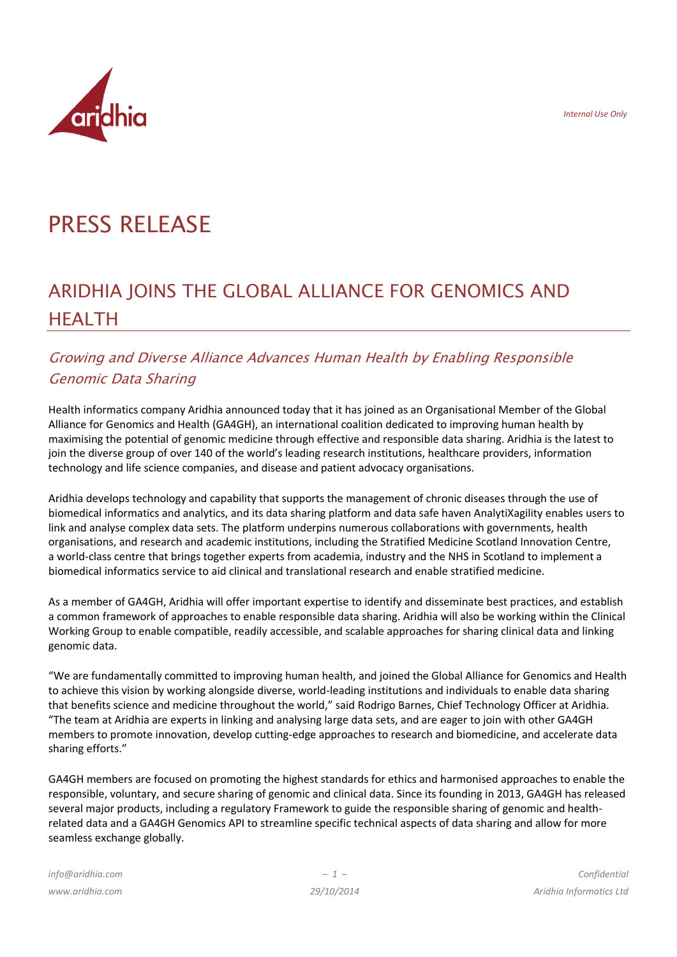*Internal Use Only*



# PRESS RELEASE

## ARIDHIA JOINS THE GLOBAL ALLIANCE FOR GENOMICS AND **HFAITH**

## Growing and Diverse Alliance Advances Human Health by Enabling Responsible Genomic Data Sharing

Health informatics company Aridhia announced today that it has joined as an Organisational Member of the Global Alliance for Genomics and Health (GA4GH), an international coalition dedicated to improving human health by maximising the potential of genomic medicine through effective and responsible data sharing. Aridhia is the latest to join the diverse group of over 140 of the world's leading research institutions, healthcare providers, information technology and life science companies, and disease and patient advocacy organisations.

Aridhia develops technology and capability that supports the management of chronic diseases through the use of biomedical informatics and analytics, and its data sharing platform and data safe haven AnalytiXagility enables users to link and analyse complex data sets. The platform underpins numerous collaborations with governments, health organisations, and research and academic institutions, including the Stratified Medicine Scotland Innovation Centre, a world-class centre that brings together experts from academia, industry and the NHS in Scotland to implement a biomedical informatics service to aid clinical and translational research and enable stratified medicine.

As a member of GA4GH, Aridhia will offer important expertise to identify and disseminate best practices, and establish a common framework of approaches to enable responsible data sharing. Aridhia will also be working within the Clinical Working Group to enable compatible, readily accessible, and scalable approaches for sharing clinical data and linking genomic data.

"We are fundamentally committed to improving human health, and joined the Global Alliance for Genomics and Health to achieve this vision by working alongside diverse, world-leading institutions and individuals to enable data sharing that benefits science and medicine throughout the world," said Rodrigo Barnes, Chief Technology Officer at Aridhia. "The team at Aridhia are experts in linking and analysing large data sets, and are eager to join with other GA4GH members to promote innovation, develop cutting-edge approaches to research and biomedicine, and accelerate data sharing efforts."

GA4GH members are focused on promoting the highest standards for ethics and harmonised approaches to enable the responsible, voluntary, and secure sharing of genomic and clinical data. Since its founding in 2013, GA4GH has released several major products, including a regulatory Framework to guide the responsible sharing of genomic and healthrelated data and a GA4GH Genomics API to streamline specific technical aspects of data sharing and allow for more seamless exchange globally.

*info@aridhia.com www.aridhia.com*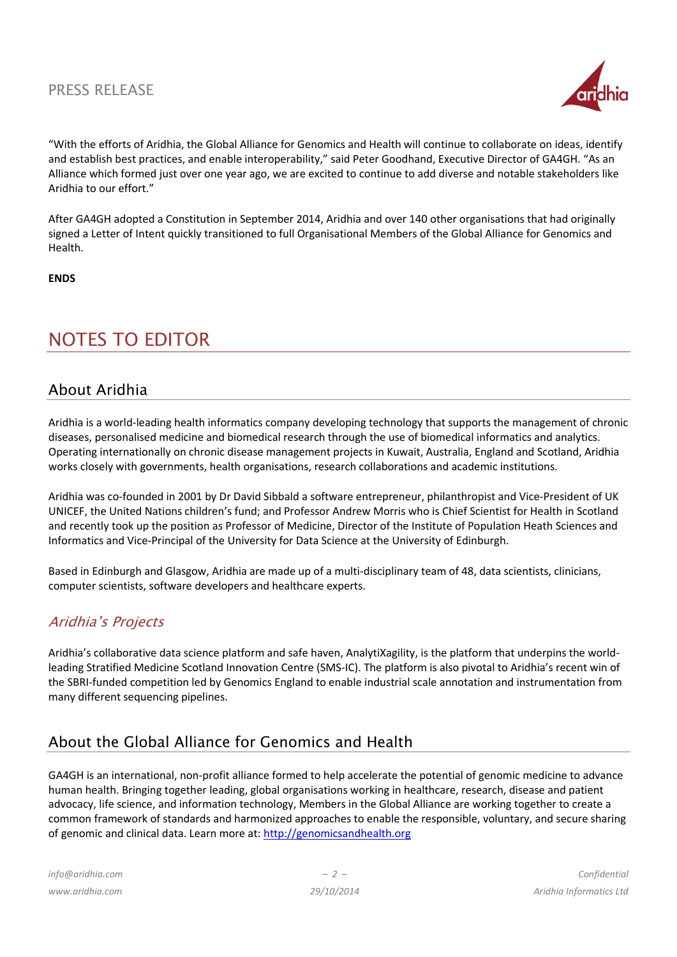## PRESS RELEASE



"With the efforts of Aridhia, the Global Alliance for Genomics and Health will continue to collaborate on ideas, identify and establish best practices, and enable interoperability," said Peter Goodhand, Executive Director of GA4GH. "As an Alliance which formed just over one year ago, we are excited to continue to add diverse and notable stakeholders like Aridhia to our effort."

After GA4GH adopted a Constitution in September 2014, Aridhia and over 140 other organisations that had originally signed a Letter of Intent quickly transitioned to full Organisational Members of the Global Alliance for Genomics and Health.

#### **ENDS**

## NOTES TO EDITOR

### About Aridhia

Aridhia is a world-leading health informatics company developing technology that supports the management of chronic diseases, personalised medicine and biomedical research through the use of biomedical informatics and analytics. Operating internationally on chronic disease management projects in Kuwait, Australia, England and Scotland, Aridhia works closely with governments, health organisations, research collaborations and academic institutions.

Aridhia was co-founded in 2001 by Dr David Sibbald a software entrepreneur, philanthropist and Vice-President of UK UNICEF, the United Nations children's fund; and Professor Andrew Morris who is Chief Scientist for Health in Scotland and recently took up the position as Professor of Medicine, Director of the Institute of Population Heath Sciences and Informatics and Vice-Principal of the University for Data Science at the University of Edinburgh.

Based in Edinburgh and Glasgow, Aridhia are made up of a multi-disciplinary team of 48, data scientists, clinicians, computer scientists, software developers and healthcare experts.

## Aridhia's Projects

Aridhia's collaborative data science platform and safe haven, AnalytiXagility, is the platform that underpins the worldleading Stratified Medicine Scotland Innovation Centre (SMS-IC). The platform is also pivotal to Aridhia's recent win of the SBRI-funded competition led by Genomics England to enable industrial scale annotation and instrumentation from many different sequencing pipelines.

## About the Global Alliance for Genomics and Health

GA4GH is an international, non-profit alliance formed to help accelerate the potential of genomic medicine to advance human health. Bringing together leading, global organisations working in healthcare, research, disease and patient advocacy, life science, and information technology, Members in the Global Alliance are working together to create a common framework of standards and harmonized approaches to enable the responsible, voluntary, and secure sharing of genomic and clinical data. Learn more at[: http://genomicsandhealth.org](http://genomicsandhealth.org/)